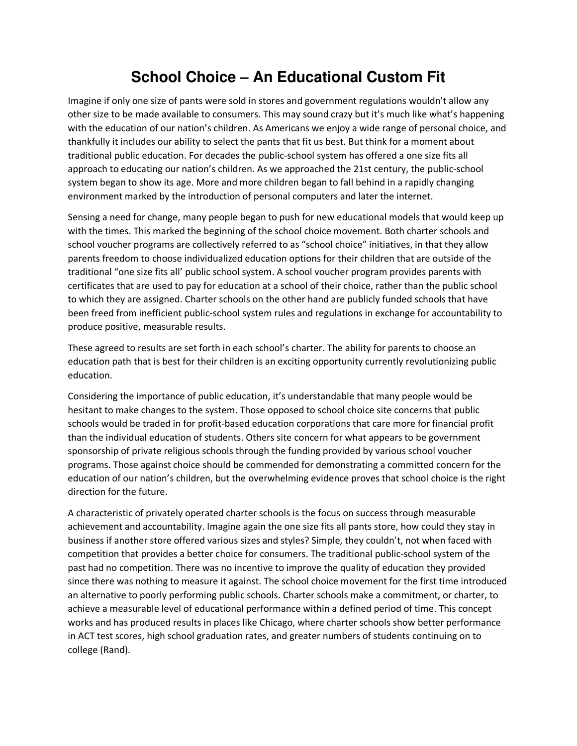## **School Choice – An Educational Custom Fit**

Imagine if only one size of pants were sold in stores and government regulations wouldn't allow any other size to be made available to consumers. This may sound crazy but it's much like what's happening with the education of our nation's children. As Americans we enjoy a wide range of personal choice, and thankfully it includes our ability to select the pants that fit us best. But think for a moment about traditional public education. For decades the public-school system has offered a one size fits all approach to educating our nation's children. As we approached the 21st century, the public-school system began to show its age. More and more children began to fall behind in a rapidly changing environment marked by the introduction of personal computers and later the internet.

Sensing a need for change, many people began to push for new educational models that would keep up with the times. This marked the beginning of the school choice movement. Both charter schools and school voucher programs are collectively referred to as "school choice" initiatives, in that they allow parents freedom to choose individualized education options for their children that are outside of the traditional "one size fits all' public school system. A school voucher program provides parents with certificates that are used to pay for education at a school of their choice, rather than the public school to which they are assigned. Charter schools on the other hand are publicly funded schools that have been freed from inefficient public-school system rules and regulations in exchange for accountability to produce positive, measurable results.

These agreed to results are set forth in each school's charter. The ability for parents to choose an education path that is best for their children is an exciting opportunity currently revolutionizing public education.

Considering the importance of public education, it's understandable that many people would be hesitant to make changes to the system. Those opposed to school choice site concerns that public schools would be traded in for profit-based education corporations that care more for financial profit than the individual education of students. Others site concern for what appears to be government sponsorship of private religious schools through the funding provided by various school voucher programs. Those against choice should be commended for demonstrating a committed concern for the education of our nation's children, but the overwhelming evidence proves that school choice is the right direction for the future.

A characteristic of privately operated charter schools is the focus on success through measurable achievement and accountability. Imagine again the one size fits all pants store, how could they stay in business if another store offered various sizes and styles? Simple, they couldn't, not when faced with competition that provides a better choice for consumers. The traditional public-school system of the past had no competition. There was no incentive to improve the quality of education they provided since there was nothing to measure it against. The school choice movement for the first time introduced an alternative to poorly performing public schools. Charter schools make a commitment, or charter, to achieve a measurable level of educational performance within a defined period of time. This concept works and has produced results in places like Chicago, where charter schools show better performance in ACT test scores, high school graduation rates, and greater numbers of students continuing on to college (Rand).